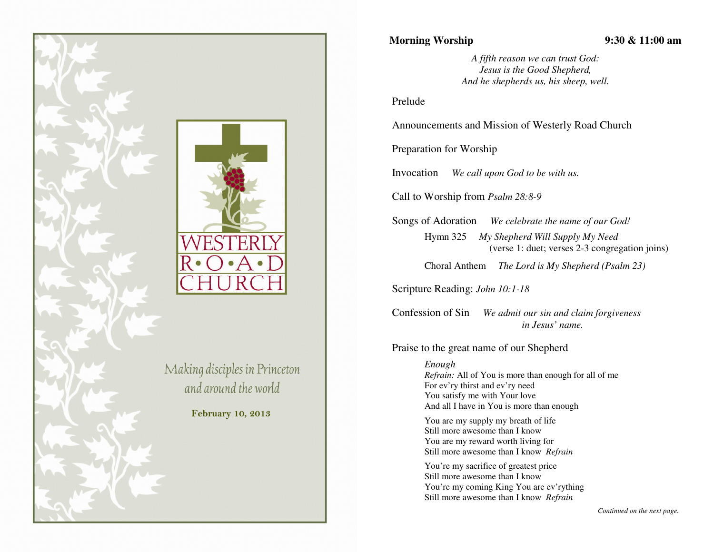

# **Morning Worship 9:30 & 11:00 am**

*A fifth reason we can trust God: Jesus is the Good Shepherd, And he shepherds us, his sheep, well.* 

Prelude

Announcements and Mission of Westerly Road Church

Preparation for Worship

Invocation *We call upon God to be with us.* 

Call to Worship from *Psalm 28:8-9*

Songs of Adoration *We celebrate the name of our God!*

Hymn 325 *My Shepherd Will Supply My Need* (verse 1: duet; verses 2-3 congregation joins)

Choral Anthem *The Lord is My Shepherd (Psalm 23)*

Scripture Reading: *John 10:1-18* 

Confession of Sin *We admit our sin and claim forgiveness in Jesus' name.*

Praise to the great name of our Shepherd

*Enough Refrain:* All of You is more than enough for all of me For ev'ry thirst and ev'ry need You satisfy me with Your love And all I have in You is more than enough

You are my supply my breath of life Still more awesome than I know You are my reward worth living for Still more awesome than I know *Refrain*

You're my sacrifice of greatest price Still more awesome than I know You're my coming King You are ev'rything Still more awesome than I know *Refrain* 

*Continued on the next page.*